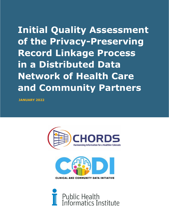**Initial Quality Assessment of the Privacy-Preserving Record Linkage Process in a Distributed Data Network of Health Care and Community Partners**

**JANUARY 2022**





**CLINICAL AND COMMUNITY DATA INITIATIVE** 

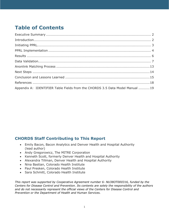# **Table of Contents**

| Appendix A: IDENTIFIER Table Fields from the CHORDS 3.5 Data Model Manual  19 |  |
|-------------------------------------------------------------------------------|--|

### **CHORDS Staff Contributing to This Report**

- Emily Bacon, Bacon Analytics and Denver Health and Hospital Authority (lead author)
- Andy Gregorowicz, The MITRE Corporation
- Kenneth Scott, formerly Denver Health and Hospital Authority
- Alexandra Tillman, Denver Health and Hospital Authority
- Nina Bastian, Colorado Health Institute
- Paul Presken, Colorado Health Institute
- Sara Schmitt, Colorado Health Institute

*This report was supported by Cooperative Agreement number 6- NU38OT000316, funded by the Centers for Disease Control and Prevention. Its contents are solely the responsibility of the authors and do not necessarily represent the official views of the Centers for Disease Control and Prevention or the Department of Health and Human Services.*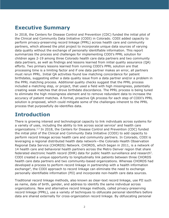# <span id="page-2-0"></span>**Executive Summary**

In 2018, the Centers for Disease Control and Prevention (CDC) funded the initial pilot of the Clinical and Community Data Initiative (CODI) in Colorado. CODI added capacity to perform privacy-preserving record linkage (PPRL) across health care and community partners, which allowed the pilot project to incorporate unique data sources of varying data quality without the exchange of personally identifiable information. This report summarizes the process and challenges for implementing CODI's PPRL solution for children ages 2-19 among three Colorado health care data partners and two community data partners, as well as findings and lessons learned from initial quality assurance (QA) efforts. Two primary lessons learned from running CODI's PPRL solution are that processing time is a limiting factor and if one data partner makes an error, all partners must rerun PPRL. Initial QA activities found low matching concordance for patient birthdates, suggesting either a data quality issue from a data partner and/or a problem in the PPRL matching process. Additional quality checks suggest that the PPRL process included a matching step, or project, that used a field with high missingness, potentially creating weak matches that drove birthdate discordance. The PPRL process is being tuned to eliminate the high missingness element and to remove redundant data to increase the accuracy of patient matches. A formal, proactive QA process for each step of CODI's PPRL solution is proposed, which could mitigate some of the challenges inherent to the PPRL process that purposefully de-identifies data.

## <span id="page-2-1"></span>**Introduction**

There is growing interest and technological capacity to link individuals across systems for a variety of uses, including the ability to link across social service<sup>1</sup> and health care organizations. $2,3$  In 2018, the Centers for Disease Control and Prevention (CDC) funded the initial pilot of the Clinical and Community Data Initiative (CODI) to add capacity to perform record linkage across health care and community partners. In Colorado, CODI is leveraging a regional distributed health data network—the Colorado Health Observation Regional Data Service (CHORDS) Network. CHORDS, which began in 2011, is a network of 14 health care and behavioral health partners across the Metro Denver region that share federated electronic health record (EHR) data for public health surveillance and research<sup>2</sup>. CODI created a unique opportunity to longitudinally link patients between three CHORDS health care data partners and two community-based organizations. Whereas CHORDS had developed a process to perform record linkage in partnership with a health information exchange<sup>4</sup>, the CODI approach to record linkage can eliminate the need to exchange personally identifiable information (PII) and incorporate non-health care data sources.

Traditional record linkage methods, also known as clear-text record linkage, use PII such as name, date of birth, gender, and address to identify the same individual across organizations. New and alternative record linkage methods, called privacy-preserving record linkage (PPRL), use a variety of techniques to obfuscate personal identifiers before data are shared externally for cross-organization record linkage. By obfuscating personal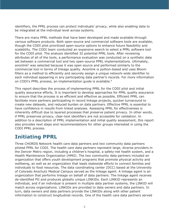identifiers, the PPRL process can protect individuals' privacy, while also enabling data to be integrated at the individual level across systems.

There are many PPRL methods that have been developed and made available through various software products. Both open-source and commercial software tools are available, though the CODI pilot prioritized open-source options to enhance future feasibility and scalability. The CODI team conducted an expansive search to select a PPRL software tool for the CODI pilot. The analysis identified 32 potential PPRL tools. After reviewing attributes of all of the tools, a performance evaluation was conducted on a synthetic data set between a commercial tool and two open-source PPRL implementations. Ultimately, anonlink<sup>5</sup> was selected because it was open source and performed similarly to the commercial tool in terms of linkage quality. Anonlink is python-based and uses Bloom filters as a method to efficiently and securely assign a unique network-wide identifier to each individual appearing in any participating data partner's records. For more information on CODI's PPRL process, an implementation quide is available.<sup>6</sup>

This report describes the process of implementing PPRL for the CODI pilot and initial quality assurance efforts. It is important to develop approaches for PPRL quality assurance to ensure that the process is as efficient and effective as possible. Efficient PPRL can facilitate more partners participating in record linkage projects, quicker turnaround to create new datasets, and reduced burden on data partners. Effective PPRL is essential to have confidence in results from linked analyses. Assessing PPRL for effectiveness is inherently difficult due to layered processes that preserve patient privacy. In other words, if PPRL preserves privacy, clear-text identifiers are not accessible for validation. In addition to a description of PPRL implementation and initial quality assessment, this report also provides next steps and recommendations for other groups interested in using the CODI PPRL process.

# <span id="page-3-0"></span>**Initiating PPRL**

Three CHORDS Network health care data partners and two community data partners piloted PPRL for CODI. The health care data partners represent large, diverse providers in the Denver Metro region, including a children's hospital, a safety-net health system, and a Health Maintenance Organization (HMO). The two community data partners included an organization that offers youth development programs that promote physical activity and wellbeing, as well as an organization that leads statewide efforts to connect families and individuals to food resources. The data coordinating center (DCC) based at the University of Colorado Anschutz Medical Campus served as the linkage agent. A linkage agent is an organization that performs linkage on behalf of data partners. The linkage agent receives de-identified PII and produces globally unique LINKIDs. Each LINKID represents an individual, and if an individual is present in multiple data partner systems, the LINKID will match across organizations. LINKIDs are provided to data owners and data partners. In turn, data owners and data partners provide the LINKIDs along with other patient information to construct longitudinal records. One of the health care data partners served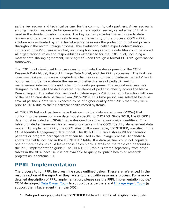as the key escrow and technical partner for the community data partners. A key escrow is an organization responsible for generating an encryption secret, called a "salt," that is used in the de-identification process. The key escrow provides the salt value to data owners and data partners securely to ensure the security of the process. CODI's PPRL solution was evaluated by an external agency to assess the protection of patient privacy throughout the record linkage process. This evaluation, called expert determination, influenced how PPRL was executed, including how long sensitive data files could be stored. All organizational roles and responsibilities established for the CODI pilot, including a master data sharing agreement, were agreed upon through a formal CHORDS governance framework.

The CODI pilot developed two use cases to motivate the development of the CODI Research Data Model, Record Linkage Data Model, and the PPRL processes.<sup>7</sup> The first use case was designed to assess longitudinal changes in a number of pediatric patients' health outcomes in order to evaluate the real-world effectiveness of pediatric weight management interventions and other community programs. The second use case was designed to calculate the deduplicated prevalence of pediatric obesity across the Metro Denver region. The initial PPRL included children aged 2-19 during an interaction with one of the health care data partners from 2016-2019. This time period was selected because several partners' data were expected to be of higher quality after 2016 than they were prior to 2016 due to their electronic health record systems.

All CHORDS Network partners have their own virtual data warehouses (VDWs) that conform to the same common data model specific to CHORDS. Since 2018, the CHORDS data model included a LINKAGE table designed to store network-wide identifiers. This table provided a framework for an analogous table in the CODI Identity Management data model.7 To implement PPRL, the CODI sites built a new table, IDENTIFIER, specified in the CODI Identity Management data model. The IDENTIFIER table stores PII for pediatric patients or program participants that can be used in the linkage process. Appendix A shows the fields included in the IDENTIFIER table. If a data partner could not populate one or more fields, it could leave those fields blank. Details on the table can be found in the PPRL implementation guide.<sup>6</sup> The IDENTIFIER table is stored separately from other tables in the VDW because it is not available to query for public health or research projects as it contains PII.

## <span id="page-4-0"></span>**PPRL Implementation**

The process to run PPRL involves nine steps outlined below. These are referenced in the results section of the report as they relate to the quality assurance process. For a more detailed description of PPRL implementation, please see the PPRL implementation quide.<sup>6</sup> CODI developed [Data Owner Tools](https://github.com/mitre/data-owner-tools) to support data partners and [Linkage Agent Tools](https://github.com/mitre/linkage-agent-tools/) to support the linkage agent (i.e., the DCC).

1. Data partners populate the IDENTIFIER table with PII for all eligible individuals.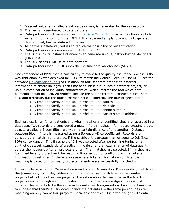- 2. A secret value, also called a salt value or key, is generated by the key escrow.
- 3. The key is disseminated to data partners.
- 4. Data partners run their instances of the [Data Owner Tools,](https://github.com/mitre/data-owner-tools) which contain scripts to extract information from the IDENTIFIER table and supply it to anonlink, generating de-identified, hashed data with the key.
- 5. All partners delete key values to reduce the possibility of reidentification.
- 6. Data partners send de-identified data to the DCC.
- 7. The DCC runs its instance of anonlink to generate unique, network-wide identifiers (LINKIDs).
- 8. The DCC sends LINKIDs to data partners.
- 9. Data partners load LINKIDs into their virtual data warehouses (VDWs).

One component of PPRL that is particularly relevant to the quality assurance process is the way that anonlink was deployed for CODI to match individuals (Step 7). The DCC uses the software [Linkage Agent Tools](https://github.com/mitre/linkage-agent-tools/) to run anonlink four separate times with different information to create linkages. Each time anonlink is run it uses a different project, or unique combination of individual characteristics, which informs the tool which data elements should be used. All projects include the same first three characteristics: name, sex, and birthdate, but the fourth characteristic is different. The four projects include:

- Given and family name, sex, birthdate, and address
- Given and family name, sex, birthdate, and zip code
- Given and family name, sex, birthdate, and phone number
- Given and family name, sex, birthdate, and parent's email address

Each project is run for all patients and when matches are identified, they are recorded in a database. Two records are considered a match if their hashed information, creating a data structure called a Bloom filter, are within a certain distance of one another. Distance between Bloom filters is measured using a Sørensen–Dice coefficient. Records are considered a match in one project if the coefficient is greater than or equal to 0.8 (i.e., 80% concordance). This threshold of 0.8 was selected after performing tuning on a synthetic dataset, standards of practice in the field, and an examination of data quality across the network. After all projects are run, final matches are selected. If matches are identified by any project and the resulting linkages do not conflict, then the linkage information is returned. If there is a case where linkage information conflicts, then matching is based on how many projects patients were successfully matched on.

For example, a patient at Organization A and one at Organization B successfully match on the [name, sex, birthdate, address] and the [name, sex, birthdate, phone number] projects but not the other two projects. The information that matched in the first two projects reached a high enough threshold of 0.8, so the Linkage Agent Tools would consider the patients to be the same individual at each organization. Enough PII matched to suggest that there's a very good chance the patients are the same person, despite matching on only two of four projects. Because clear text PII is often fraught with data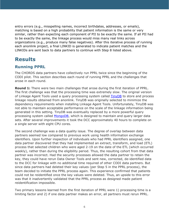entry errors (e.g., misspelling names, incorrect birthdates, addresses, or emails), matching is based on a high probability that patient information is the same or very similar, rather than expecting each component of PII to be exactly the same. If all PII had to be exactly the same, the linkage process would miss many real links across organizations (e.g., produce many false negatives). After this iterative process of running each anonlink project, a final LINKID is generated to indicate patient matches and the LINKIDs are sent back to data partners to continue with Step 8 listed above.

## <span id="page-6-0"></span>**Results**

### **Running PPRL**

The CHORDS data partners have collectively run PPRL twice since the beginning of the CODI pilot. This section describes each round of running PPRL and the challenges that arose in each round.

**Round 1:** There were two main challenges that arose during the first iteration of PPRL. The first challenge was that the processing time was extremely slow. The original version of Linkage Agent Tools used a query processing system called [TinyDB](https://tinydb.readthedocs.io/en/latest/) to store and process linkage results obtained from anonlink. TinyDB was originally selected to minimize the dependency requirements when installing Linkage Agent Tools. Unfortunately, TinyDB was not able to maintain acceptable performance on the scale of the linkage information being generated in this setting. TinyDB was eventually replaced by a more powerful query processing system called [MongoDB,](http://www.mongodb.org/) which is designed to maintain and query larger data sets. After several improvements it took the DCC approximately 40 hours to complete on a single server with eight CPU cores.

The second challenge was a data quality issue. The degree of overlap between data partners seemed low compared to previous work using health information exchange identifiers. Upon further inspection of individuals who had PPRL identifiers assigned, one data partner discovered that they had implemented an extract, transform, and load (ETL) process that selected children who were aged 2-19 on the date of the ETL (which occurred weekly), rather than during the eligibility period. Thus, the resulting cohort from that data partner was incorrect. Had the security processes allowed the data partner to retain the key, they could have rerun Data Owner Tools and sent new, corrected, de-identified data to the DCC for linkage with no additional time required of other CODI data partners. But since data partners had deleted their key values (per Step 5 in the PPRL process), the team decided to initiate the PPRL process again. This experience confirmed that patients could not be reidentified once the key values were deleted. Thus, an upside to this error was that it inadvertently validated that the PPRL process as designed made patient reidentification impossible.

Two primary lessons learned from the first iteration of PPRL were 1) processing time is a limiting factor and 2) if one data partner makes an error, all partners must rerun PPRL.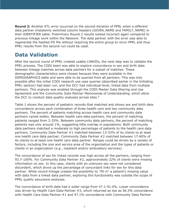**Round 2:** Another ETL error occurred on the second iteration of PPRL when a different data partner mistakenly switched column headers (GIVEN\_NAME and FAMILY\_NAME) in their IDENTIFIER table. Preliminary Round 2 results looked incorrect again compared to previous linkage work within the Network. The data partner with the error was able to regenerate the hashed PII file without requiring the entire group to rerun PPRL and thus PPRL results from the second run could be used.

# <span id="page-7-0"></span>**Data Validation**

After the second round of PPRL created usable LINKIDs, the next step was to validate the PPRL process. The CODI team was able to explore concordance in sex and birth date between linkage matches across data partners for a subset of matches. These demographic characteristics were chosen because they were available in the DEMOGRAPHICS table and were able to be queried from all partners. This was only possible after the initial CODI research use case queries (described earlier in the Initiating PPRL section) had been run, and the DCC had individual-level, linked data from multiple partners. This analysis was enabled through the CODI Master Data Sharing and Use Agreement and the Community Data Partner Memoranda of Understanding, which allow the DCC to conduct data quality analyses across sites.<sup>8</sup>

Table 1 shows the percent of pediatric records that matched and shows sex and birth date concordance across each combination of three health care and two community data partners. The percent of patients matching across health care and community data partners varied widely. Between health care data partners, the percent of matching patients ranged from 2-35%. Between community data partners, the percent of matching patients was only around 1%, suggesting little overlap in populations. Both community data partners matched a moderate to high percentage of patients to the health care data partners. Community Data Partner #1 matched between 13-33% of its clients to at least one health care data partner; Community Data Partner #2 matched between 17-60% of its clients to at least one health care data partner. Ranges could be driven by a variety of factors, including the size and service area of the organization and the types of patients or clients in an organization (e.g., inpatient and/or ambulatory services).

The concordance of sex for linked records was high across all the partners, ranging from 93.7-100%. For Community Data Partner #2, approximately 22% of clients were missing information on sex. In this case, clients with an unknown sex were not considered discordant, which drove up the percentage of concordant links for sex for this data partner. While record linkage creates the possibility to "fill in" a patient's missing value with data from a linked data partner, exploring this functionality was outside the scope of PPRL quality assurance analyses.

The concordance of birth date had a wider range from 47.1-91.4%. Lower concordance was driven by Health Care Data Partner #3, which returned as low as 56.3% concordance with Health Care Data Partner #1 and 47.1% concordance with Community Data Partner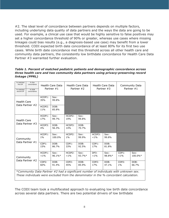#2. The ideal level of concordance between partners depends on multiple factors, including underlying data quality of data partners and the ways the data are going to be used. For example, a clinical use case that would be highly sensitive to false positives may set a higher concordance threshold of 90% or greater, whereas use cases where missing linkages could bias results (e.g., a diagnosis-based use case) may benefit from a lower threshold. CODI expected birth date concordance of at least 80% for its first two use cases. While birth date concordance met this threshold across all other health care and community data partners, the consistently low birthdate concordance for Health Care Data Partner #3 warranted further evaluation.

#### *Table 1. Percent of matched pediatric patients and demographic concordance across three health care and two community data partners using privacy-preserving record linkage (PPRL)*

| % matched<br>first DP<br>% matched<br>second DP                                                                                                                               | % Sex<br>concordance<br>%DOB<br>concordance | Health Care Data<br>Partner #1 |                | Health Care Data<br>Partner #2 |                   | Health Care Data<br>Partner #3 |                | Community Data<br>Partner $#1$ |                 |
|-------------------------------------------------------------------------------------------------------------------------------------------------------------------------------|---------------------------------------------|--------------------------------|----------------|--------------------------------|-------------------|--------------------------------|----------------|--------------------------------|-----------------|
| <b>Health Care</b><br>Data Partner #2                                                                                                                                         |                                             | HCDP1:<br>35%                  | Sex:<br>99.8%  |                                |                   |                                |                |                                |                 |
|                                                                                                                                                                               |                                             | HCDP2:<br>11%                  | DOB:<br>85.8%  |                                |                   |                                |                |                                |                 |
| <b>Health Care</b><br>Data Partner #3                                                                                                                                         |                                             | HCDP1:<br>17%                  | Sex:<br>99.7%  | HCDP2:<br>19%                  | Sex:<br>99.8%     |                                |                |                                |                 |
|                                                                                                                                                                               |                                             | HCDP3:<br>4%                   | DOB:<br>56.3%  | HCDP3:<br>14%                  | DOB:<br>70.7%     |                                |                |                                |                 |
| Community<br>Data Partner #1                                                                                                                                                  |                                             | HCDP1:<br>1%                   | Sex:<br>100.0% | HCDP2:<br>$1\%$                | Sex:<br>99.9%     | HCDP3:<br>$< 1\%$              | Sex:<br>99.8%  |                                |                 |
|                                                                                                                                                                               |                                             | CDP1:<br>15%                   | DOB:<br>86.7%  | CDP1:<br>33%                   | DOB:<br>92.5%     | CDP1:<br>17%                   | DOB:<br>81.8%  |                                |                 |
| Community<br>Data Partner #2                                                                                                                                                  |                                             | HCDP1:<br>$< 1\%$              | Sex:<br>96.1%* | HCDP2:<br>$< 1\%$              | Sex:<br>$93.7\%*$ | DP3:<br>$< 1\%$                | Sex:<br>98.8%* | CDP1:<br>$< 1\%$               | Sex:<br>100.0%* |
|                                                                                                                                                                               |                                             | CDP2:<br>60%                   | DOB:<br>91.4%  | CDP2:<br>45%                   | DOB:<br>85.9%     | CDP2:<br>17%                   | DOB:<br>47.1%  | CDP2:<br>$1\%$                 | DOB:<br>66.7%   |
| *Community Data Partner #2 had a significant number of individuals with unknown sex.<br>These individuals were excluded from the denominator in the % concordant calculation. |                                             |                                |                |                                |                   |                                |                |                                |                 |

The CODI team took a multifaceted approach to evaluating low birth date concordance across several data partners. There are two potential drivers of low birthdate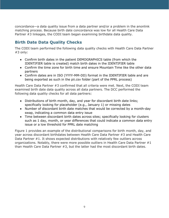concordance—a data quality issue from a data partner and/or a problem in the anonlink matching process. Because birth date concordance was low for all Health Care Data Partner #3 linkages, the CODI team began examining birthdate data quality.

### **Birth Date Data Quality Checks**

The CODI team performed the following data quality checks with Health Care Data Partner #3 only:

- Confirm birth dates in the patient DEMOGRAPHICS table (from which the IDENTIFIER table is created) match birth dates in the IDENTIFIER table
- Confirm the time zone for birth time and ensure Mountain Time like the other data partners
- Confirm dates are in ISO (YYYY-MM-DD) format in the IDENTIFIER table and are being exported as such in the pii.csv folder (part of the PPRL process)

Health Care Data Partner #3 confirmed that all criteria were met. Next, the CODI team examined birth date data quality across all data partners. The DCC performed the following data quality checks for all data partners:

- Distributions of birth month, day, and year for discordant birth date links; specifically looking for placeholder (e.g., January 1) or missing dates
- Number of discordant birth date matches that would be corrected by a month-day swap, indicating a common data entry issue
- Time between discordant birth dates across sites; specifically looking for clusters such as 1 day, month, or year differences that could indicate a common data entry issue or a low threshold for PPRL date matching

Figure 1 provides an example of the distributional comparisons for birth month, day, and year across discordant birthdates between Health Care Data Partner #3 and Health Care Data Partner #1. It shows expected distributions with relatively few outliers across organizations. Notably, there were more possible outliers in Health Care Data Partner #1 than Health Care Data Partner #3, but the latter had the most discordant birth dates.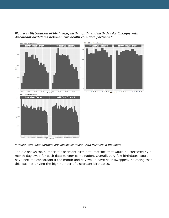

*Figure 1: Distribution of birth year, birth month, and birth day for linkages with discordant birthdates between two health care data partners.\**

*\* Health care data partners are labeled as Health Data Partners in the figure.*

Table 2 shows the number of discordant birth date matches that would be corrected by a month-day swap for each data partner combination. Overall, very few birthdates would have become concordant if the month and day would have been swapped, indicating that this was not driving the high number of discordant birthdates.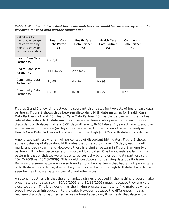*Table 2: Number of discordant birth date matches that would be corrected by a monthday swap for each data partner combination.*

| Corrected by<br>month-day swap/<br>Not corrected by<br>month-day swap<br>with sensical date | Health Care<br>Data Partner<br>#1 | Health Care<br>Data Partner<br>#2 | Health Care<br>Data Partner<br>#3 | Community<br>Data Partner<br>#1 |
|---------------------------------------------------------------------------------------------|-----------------------------------|-----------------------------------|-----------------------------------|---------------------------------|
| Health Care Data<br>Partner #2                                                              | 8/2,408                           |                                   |                                   |                                 |
| Health Care Data<br>Partner #3                                                              | 14 / 3,779                        | 29 / 8,591                        |                                   |                                 |
| <b>Community Data</b><br>Partner $#1$                                                       | 2/65                              | 0/86                              | 0/99                              |                                 |
| <b>Community Data</b><br>Partner #2                                                         | 0/18                              | 0/18                              | 0/22                              | 0/1                             |

Figures 2 and 3 show time between discordant birth dates for two sets of health care data partners. Figure 2 shows days between discordant birth date matches for Health Care Data Partners #1 and #3. Health Care Data Partner #3 was the partner with the highest rate of discordant birth date matches. There are three scales presented in each figure: discordant birth dates that are 0-31 days different, 0-365 days (1 year) different, and the entire range of difference (in days). For reference, Figure 3 shows the same analysis for Health Care Data Partners #1 and #2, which had high (85.8%) birth date concordance.

Among two partners with a high percentage of discordant birth dates, Figure 2 shows some clustering of discordant birth dates that differed by 1 day, 10 days, each month mark, and each year mark. However, there is a similar pattern in Figure 3 among two partners with a low percentage of discordant birthdates. One hypothesis explaining this pattern is that birthdates were not entered correctly by one or both data partners (e.g., 10/12/2009 vs. 10/13/2009). This would constitute an underlying data quality issue. Because the same pattern was also found among two partners that had a high percentage of birth date concordance, it is unlikely that this is driving the high birthdate discordance seen for Health Care Data Partner #3 and other sites.

A second hypothesis is that the anonymized strings produced in the hashing process make proximate birth dates (e.g., 10/12/2009 and 10/13/2009) match because they are very close together. This is by design, as the linking process attempts to find matches where typos have been introduced into the data. However, because the differences in days between discordant matches fall across a broad spectrum, it suggests that data entry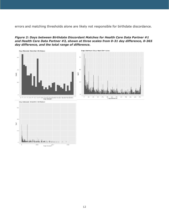errors and matching thresholds alone are likely not responsible for birthdate discordance.

#### *Figure 2: Days between Birthdate Discordant Matches for Health Care Data Partner #1 and Health Care Data Partner #3, shown at three scales from 0-31 day difference, 0-365 day difference, and the total range of difference.*

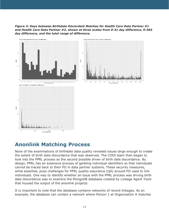*Figure 3: Days between Birthdate Discordant Matches for Health Care Data Partner #1 and Health Care Data Partner #2, shown at three scales from 0-31 day difference, 0-365 day difference, and the total range of difference.*



## <span id="page-13-0"></span>**Anonlink Matching Process**

None of the examinations of birthdate data quality revealed issues large enough to create the extent of birth date discordance that was observed. The CODI team then began to look into the PPRL process as the second possible driver of birth date discordance. By design, PPRL has an extensive process of garbling individual identifiers so that individuals cannot be traced back to their PII in data partner systems. These security measures, while essential, pose challenges for PPRL quality assurance (QA) around PII used to link individuals. One way to identify whether an issue with the PPRL process was driving birth date discordance was to examine the MongoDB database created by Linkage Agent Tools that housed the output of the anonlink projects.

It is important to note that the database contains networks of record linkages. As an example, the database can contain a network where Person 1 at Organization A matches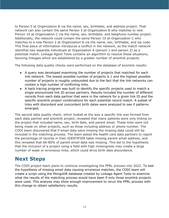to Person 5 at Organization B via the name, sex, birthdate, and address project. That network can also contain the same Person 5 at Organization B who matches to new Person 10 at Organization C via the name, sex, birthdate, and telephone number project. Additionally, the network could contain the same Person 10 at Organization C who matches to a new Person 2 at Organization A via the name, sex, birthdate, and zip code. This final piece of information introduces a conflict in the network, as the match network identifies two separate individuals at Organization A (person 1 and person 2) as a potential match. Linkage Agent Tools contains an algorithm to resolve these situations, favoring linkages which are established by a greater number of anonlink projects.

The following data quality checks were performed on the database of anonlink results:

- A query was developed examining the number of projects that matched for each link network. The lowest possible number of projects is 1 and the highest possible number of projects is roughly unbounded due to the fact that the link networks can contain a high number of conflicting links.
- A back tracing program was built to identify the specific projects used to match a single anonymized link ID across partners. Results included the number of different records from each data partner that were in the network for a given link ID and the specific anonlink project combinations for each potential record match. A subset of links with discordant and concordant birth dates were analyzed to see if patterns emerged.

The second data quality check, which looked at the way a specific link was formed from each data partner and anonlink project, revealed that many patients were only linking on the project that included name, sex, birth date, and parent email. These links were not being made on other projects, such as those including address or phone number. The CODI team discovered that if email data were missing the missing data could still be included in the matching process. The team asked the health care data partners to report the percentage of records in their IDENTIFIER table missing parent email address, and this revealed that 66-80% of parent email data was missing. This led to the hypothesis that the inclusion of a project using a field with high missingness may create a large number of weak or erroneous links, which could drive birth date discordance.

## <span id="page-14-0"></span>**Next Steps**

The CODI project team plans to continue investigating the PPRL process into 2022. To test the hypothesis of missing email data causing erroneous matches, the CODI team will create a script using the MongoDB database created by Linkage Agent Tools to examine what the results of the matching process would have been if only three anonlink projects were used. This analysis may show enough improvement to rerun the PPRL process with this change to obtain satisfactory results.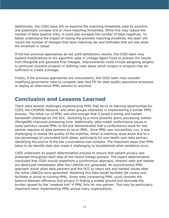Additionally, the CODI team will re-examine the matching thresholds used by anonlink and potentially increase one or more matching thresholds. While this may reduce the number of false positive links, it could also increase the number of false negatives. To better understand the impact of raising the anonlink matching threshold, the team will record the number of linkages that have matching sex and birthdate that are lost when the threshold is raised.

If the two previous approaches do not yield satisfactory results, the CODI team may explore modifications to the algorithm used in Linkage Agent Tools to process the results from MongoDB and generate final linkages. Improvements could include assigning weights to particular anonlink projects or defining rules about which project or projects may be sufficient to create a linkage.

Finally, if the previous approaches are unsuccessful, the CODI team may consider modifying governance rules to compare clear text PII for data quality assurance processes or deploy an alternative PPRL solution to anonlink.

### <span id="page-15-0"></span>**Conclusion and Lessons Learned**

There were several challenges implementing PPRL that serve as learning opportunities for CODI, the CHORDS Network, and other groups interested in implementing a similar PPRL process. The initial run of PPRL was slow enough that it posed a timing and system bandwidth challenge for the DCC. Switching to a more powerful query processing system (MongoDB) improved processing time. Additionally, data model conformance issues in some partners caused PPRL to fail and demonstrated that a conformance issue for one partner requires all data partners to rerun PPRL. Once PPRL was successfully run, it was challenging to assess the quality of the matches. When a matching issue arose due to a low percentage of concordant birth dates, particularly for one health care data partner, identifying the source of the low concordance was complex. The important steps that PPRL takes to de-identify data also make it challenging to troubleshoot when problems occur.

CODI underwent an expert determination process to ensure that patient privacy was protected throughout each step of the record linkage process. The expert determination concluded that CODI should implement a synchronous approach, wherein salts and hashes are destroyed immediately after the LINKIDs are generated. An asynchronous PPRL approach would allow data partners and the DCC to retain salt and hashed values after the initial LINKIDs were generated. Retaining this data would facilitate QA review and facilitate or avoid re-running PPRL. Some sites considering PPRL could consider the balance between efficiency and privacy in finding a middle ground and eliminate the burden caused by the "weakest link" if PPRL fails for one partner. This may be particularly important when implementing PPRL across many organizations.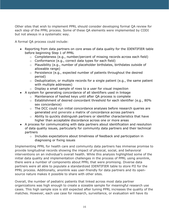Other sites that wish to implement PPRL should consider developing formal QA review for each step of the PPRL process. Some of these QA elements were implemented by CODI but not always in a systematic way.

A formal QA process could include:

- Reporting from data partners on core areas of data quality for the IDENTIFIER table before beginning Step 1 of PPRL
	- $\circ$  Completeness (e.g., number/percent of missing records across each field)
	- $\circ$  Conformance (e.g., correct data types for each field)
	- o Plausibility (e.g., number of placeholder birthdates, birthdates outside of allowable range)
	- o Persistence (e.g., expected number of patients throughout the desired period)
	- $\circ$  Deduplication, or multiple records for a single patient (e.g., the same patient with multiple addresses)
	- $\circ$  Display a small sample of rows to a user for visual inspection
- A system for generating concordance of all identifiers used in linkage
	- o Maintenance of hashed keys until after QA process is complete
	- $\circ$  Establishment of desired concordant threshold for each identifier (e.g., 80% sex concordance)
	- o The DCC could run initial concordance analyses before research queries are generated and generate a matrix of concordance across partners
	- $\circ$  Ability to quickly distinguish partners or identifier characteristics that have higher than acceptable discordance across one or more areas
- A process for communicating with data partners about identification and resolution of data quality issues, particularly for community data partners and their technical partners
	- o Includes expectations about timeliness of feedback and participation in diagnosing or fixing issues

Implementing PPRL for health care and community data partners has immense promise to provide longitudinal records showing the impact of physical, social, and behavioral interventions on an individual's overall health. While this analysis highlighted some of the initial data quality and implementation challenges in the process of PPRL using anonlink, there were a number of components about PPRL that were promising. Diverse data partners were all able to populate a standardized IDENTIFIER table to store PII for the PPRL process. Additionally, anonlink was user-friendly for data partners and its opensource nature makes it possible to share with other sites.

Overall, the number of pediatric patients that linked across most data partner organizations was high enough to create a sizeable sample for meaningful research use cases. This high sample size is still expected after tuning PPRL increases the quality of the matches. However, each use case for research, surveillance, or evaluation will have its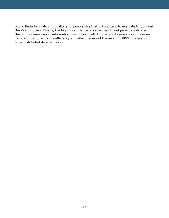own criteria for matching quality and sample size that is important to evaluate throughout the PPRL process. Finally, the high concordance of sex across linked patients indicated that some demographic information was linking well. Future quality assurance processes can continue to refine the efficiency and effectiveness of the anonlink PPRL process for large distributed data networks.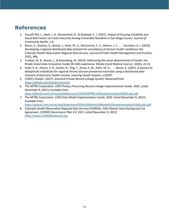### <span id="page-18-0"></span>**References**

- 1. Yousefi-Rizi, L., Baek, J.-D., Blumenfeld, N., & Stoskopf, C. J. (2021). Impact of Housing Instability and Social Risk Factors on Food Insecurity Among Vulnerable Residents in San Diego County. *Journal of Community Health*, 1-8.
- 2. Bacon, E., Budney, G., Bondy, J., Kahn, M. G., McCormick, E. V., Steiner, J. F., . . . Davidson, A. J. (2019). Developing a regional distributed data network for surveillance of chronic health conditions: the Colorado Health Observation Regional Data Service. Journal of Public Health Management and Practice, 25(5), 498.
- 3. Tumber, M. B., Bunzli, L., & Rosenberg, M. (2019). Addressing the social determinants of health: the Rhode Island state innovation model (RI SIM) experience. Rhode Island Medical Journal, 102(5), 22-25.
- 4. Scott, K. A., Davies, S. D., Zucker, R., Ong, T., Kraus, E. M., Kahn, M. G., . . . Bacon, E. (2021). A process to deduplicate individuals for regional chronic disease prevalence estimates using a distributed data network of electronic health records. Learning Health Systems, e10297.
- 5. CSIRO's Data61. (2017). Anonlink Private Record Linkage System. Retrieved from <https://github.com/data61/anonlink>
- 6. The MITRE Corporation. *CODI Privacy Preserving Record Linkage Implementation Guide*. 2020 [cited November 9, 2021]; Available from: [https://github.com/mitre/codi/blob/main/CODI%20PPRL%20Implementation%20Guide.pdf.](https://github.com/mitre/codi/blob/main/CODI%20PPRL%20Implementation%20Guide.pdf)
- 7. The MITRE Corporation. *CODI Data Model Implementation Guide*. 2020 [cited November 9, 2021]; Available from:

[https://github.com/mitre/codi/blob/main/CODI%20Data%20Model%20Implementation%20Guide.pdf.](https://github.com/mitre/codi/blob/main/CODI%20Data%20Model%20Implementation%20Guide.pdf)

8. Colorado Health Observation Regional Data Service (CHORDS). CODI Master Data Sharing and Use Agreement. *CHORDS Governance Plan 3.0.* 2021. [cited November 9, 2021] [https://www.CHORDSnetwork.org.](https://www.chordsnetwork.org/)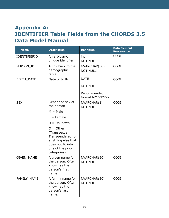# <span id="page-19-0"></span>**Appendix A: IDENTIFIER Table Fields from the CHORDS 3.5 Data Model Manual**

| <b>Name</b>         | <b>Description</b>                                                                                                              | <b>Definition</b>               | <b>Data Element</b><br><b>Provenance</b> |
|---------------------|---------------------------------------------------------------------------------------------------------------------------------|---------------------------------|------------------------------------------|
| <b>IDENTIFIERID</b> | An arbitrary,<br>unique identifier.                                                                                             | int<br><b>NOT NULL</b>          | <b>CODI</b>                              |
| PERSON_ID           | A link back to the<br>demographic<br>table.                                                                                     | NVARCHAR(36)<br><b>NOT NULL</b> | <b>CODI</b>                              |
| <b>BIRTH_DATE</b>   | Date of birth.                                                                                                                  | <b>DATE</b><br><b>NOT NULL</b>  | <b>CODI</b>                              |
|                     |                                                                                                                                 | Recommended<br>format MMDDYYYY  |                                          |
| <b>SEX</b>          | Gender or sex of<br>the person                                                                                                  | NVARCHAR(1)<br><b>NOT NULL</b>  | <b>CODI</b>                              |
|                     | $M = Male$                                                                                                                      |                                 |                                          |
|                     | $F =$ Female                                                                                                                    |                                 |                                          |
|                     | $U =$ Unknown                                                                                                                   |                                 |                                          |
|                     | $O = Other$<br>(Transsexual,<br>Transgendered, or<br>anything else that<br>does not fit into<br>one of the prior<br>categories) |                                 |                                          |
| <b>GIVEN NAME</b>   | A given name for<br>the person. Often<br>known as the<br>person's first<br>name.                                                | NVARCHAR(50)<br><b>NOT NULL</b> | <b>CODI</b>                              |
| FAMILY_NAME         | A family name for<br>the person. Often<br>known as the<br>person's last<br>name.                                                | NVARCHAR(50)<br><b>NOT NULL</b> | <b>CODI</b>                              |